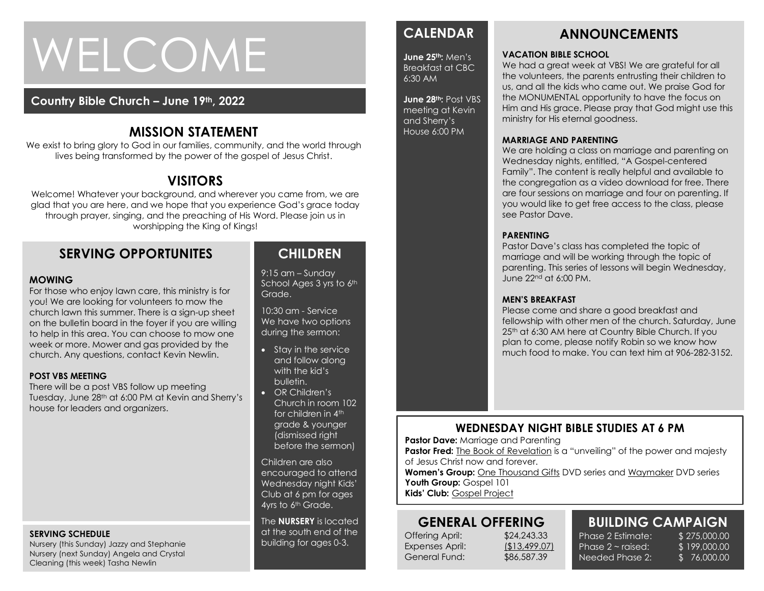# WELCOME

#### **Country Bible Church – June 19th, 2022**

# **MISSION STATEMENT**

We exist to bring glory to God in our families, community, and the world through lives being transformed by the power of the gospel of Jesus Christ.

# **VISITORS**

Welcome! Whatever your background, and wherever you came from, we are glad that you are here, and we hope that you experience God's grace today through prayer, singing, and the preaching of His Word. Please join us in worshipping the King of Kings!

# **SERVING OPPORTUNITES**

#### **MOWING**

week or more. Mower and gas provided by the<br>week or more. Mower and gas provided by the For those who enjoy lawn care, this ministry is for you! We are looking for volunteers to mow the church lawn this summer. There is a sign-up sheet on the bulletin board in the foyer if you are willing to help in this area. You can choose to mow one church. Any questions, contact Kevin Newlin.

#### **POST VBS MEETING**

There will be a post VBS follow up meeting Tuesday, June 28th at 6:00 PM at Kevin and Sherry's house for leaders and organizers.

#### **SERVING SCHEDULE**

Nursery (this Sunday) Jazzy and Stephanie Nursery (next Sunday) Angela and Crystal Cleaning (this week) Tasha Newlin

# **CHILDREN**

9:15 am – Sunday School Ages 3 yrs to 6th Grade.

10:30 am - Service We have two options during the sermon:

- Stay in the service and follow along with the kid's bulletin.
- OR Children's Church in room 102 for children in 4th grade & younger (dismissed right before the sermon)

Children are also encouraged to attend Wednesday night Kids' Club at 6 pm for ages 4yrs to 6<sup>th</sup> Grade.

The **NURSERY** is located at the south end of the building for ages 0-3.

# **CALENDAR**

**June 25th:** Men's Breakfast at CBC 6:30 AM

**June 28th:** Post VBS meeting at Kevin and Sherry's House 6:00 PM

#### **ANNOUNCEMENTS**

#### **VACATION BIBLE SCHOOL**

We had a great week at VBS! We are grateful for all the volunteers, the parents entrusting their children to us, and all the kids who came out. We praise God for the MONUMENTAL opportunity to have the focus on Him and His grace. Please pray that God might use this ministry for His eternal goodness.

#### **MARRIAGE AND PARENTING**

We are holding a class on marriage and parenting on Wednesday nights, entitled, "A Gospel-centered Family". The content is really helpful and available to the congregation as a video download for free. There are four sessions on marriage and four on parenting. If you would like to get free access to the class, please see Pastor Dave.

#### **PARENTING**

Pastor Dave's class has completed the topic of marriage and will be working through the topic of parenting. This series of lessons will begin Wednesday, June 22nd at 6:00 PM.

#### **MEN'S BREAKFAST**

Please come and share a good breakfast and fellowship with other men of the church. Saturday, June 25th at 6:30 AM here at Country Bible Church. If you plan to come, please notify Robin so we know how much food to make. You can text him at 906-282-3152.

#### **WEDNESDAY NIGHT BIBLE STUDIES AT 6 PM**

**Pastor Dave: Marriage and Parenting** 

**Pastor Fred:** The Book of Revelation is a "unveiling" of the power and majesty of Jesus Christ now and forever.

**Women's Group:** One Thousand Gifts DVD series and Waymaker DVD series Youth Group: Gospel 101

**Kids' Club:** Gospel Project

# **GENERAL OFFERING**

Offering April: \$24,243.33 Expenses April: (\$13,499.07) General Fund: \$86,587.39

# **BUILDING CAMPAIGN**

Phase 2 Estimate: \$275,000,00 Phase  $2 \sim$  raised: Needed Phase 2:

\$ 199,000.00 \$ 76,000.00